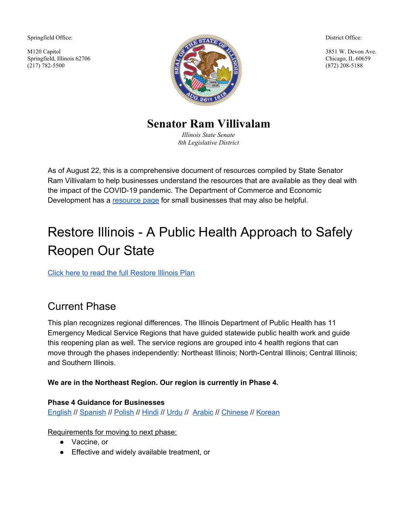Springfield Office:

M120 Capitol Springfield, Illinois 62706 (217) 782-5500



District Office:

3851 W. Devon Ave. Chicago, IL 60659 (872) 208-5188

**Senator Ram Villivalam**

*Illinois State Senate 8th Legislative District*

As of August 22, this is a comprehensive document of resources compiled by State Senator Ram Villivalam to help businesses understand the resources that are available as they deal with the impact of the COVID-19 pandemic. The Department of Commerce and Economic Development has a [resource](https://www2.illinois.gov/dceo/SmallBizAssistance/Pages/Coronavirus-Disease-2019-%28COVID-19%29-Information-for-Small-Business.aspx) page for small businesses that may also be helpful.

# Restore Illinois - A Public Health Approach to Safely Reopen Our State

Click here to read the full [Restore](https://drive.google.com/open?id=19Y1D6tuev45AFK1JiNgGowkNYraq2nLX) Illinois Plan

## Current Phase

This plan recognizes regional differences. The Illinois Department of Public Health has 11 Emergency Medical Service Regions that have guided statewide public health work and guide this reopening plan as well. The service regions are grouped into 4 health regions that can move through the phases independently: Northeast Illinois; North-Central Illinois; Central Illinois; and Southern Illinois.

#### **We are in the Northeast Region. Our region is currently in Phase 4.**

#### **Phase 4 Guidance for Businesses**

[English](https://dceocovid19resources.com/restore-illinois/restore-illinois-phase-4/) // [Spanish](https://dceocovid19resources.com/assets/Restore-Illinois/businessguidelines3/all/spanish.pdf) // [Polish](https://dceocovid19resources.com/assets/Restore-Illinois/businessguidelines3/all/polish.pdf) // [Hindi](https://dceocovid19resources.com/assets/Restore-Illinois/businessguidelines3/all/hindi.pdf) // [Urdu](https://dceocovid19resources.com/assets/Restore-Illinois/businessguidelines3/all/urdu.pdf) // [Arabic](https://dceocovid19resources.com/assets/Restore-Illinois/businessguidelines3/all/arabic.pdf) // [Chinese](https://dceocovid19resources.com/assets/Restore-Illinois/businessguidelines3/all/chinese.pdf) // [Korean](https://dceocovid19resources.com/assets/Restore-Illinois/businessguidelines3/all/korean.pdf)

Requirements for moving to next phase:

- Vaccine, or
- Effective and widely available treatment, or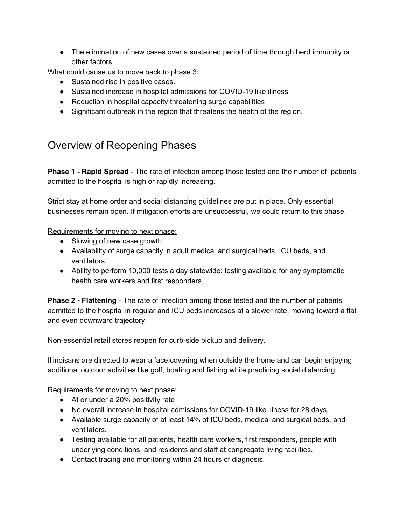• The elimination of new cases over a sustained period of time through herd immunity or other factors.

What could cause us to move back to phase 3:

- Sustained rise in positive cases.
- Sustained increase in hospital admissions for COVID-19 like illness
- Reduction in hospital capacity threatening surge capabilities
- Significant outbreak in the region that threatens the health of the region.

### Overview of Reopening Phases

**Phase 1 - Rapid Spread** - The rate of infection among those tested and the number of patients admitted to the hospital is high or rapidly increasing.

Strict stay at home order and social distancing guidelines are put in place. Only essential businesses remain open. If mitigation efforts are unsuccessful, we could return to this phase.

Requirements for moving to next phase:

- Slowing of new case growth.
- Availability of surge capacity in adult medical and surgical beds, ICU beds, and ventilators.
- Ability to perform 10,000 tests a day statewide; testing available for any symptomatic health care workers and first responders.

**Phase 2 - Flattening** - The rate of infection among those tested and the number of patients admitted to the hospital in regular and ICU beds increases at a slower rate, moving toward a flat and even downward trajectory.

Non-essential retail stores reopen for curb-side pickup and delivery.

Illinoisans are directed to wear a face covering when outside the home and can begin enjoying additional outdoor activities like golf, boating and fishing while practicing social distancing.

Requirements for moving to next phase:

- At or under a 20% positivity rate
- No overall increase in hospital admissions for COVID-19 like illness for 28 days
- Available surge capacity of at least 14% of ICU beds, medical and surgical beds, and ventilators.
- Testing available for all patients, health care workers, first responders, people with underlying conditions, and residents and staff at congregate living facilities.
- Contact tracing and monitoring within 24 hours of diagnosis.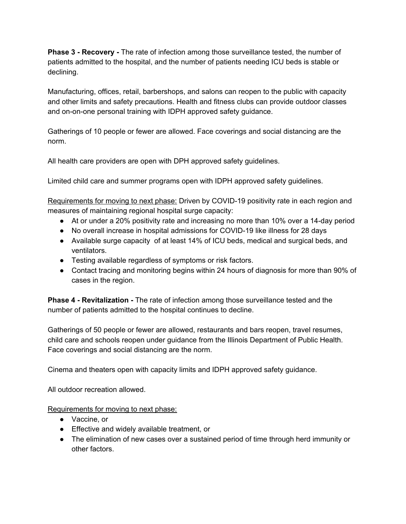**Phase 3 - Recovery -** The rate of infection among those surveillance tested, the number of patients admitted to the hospital, and the number of patients needing ICU beds is stable or declining.

Manufacturing, offices, retail, barbershops, and salons can reopen to the public with capacity and other limits and safety precautions. Health and fitness clubs can provide outdoor classes and on-on-one personal training with IDPH approved safety guidance.

Gatherings of 10 people or fewer are allowed. Face coverings and social distancing are the norm.

All health care providers are open with DPH approved safety guidelines.

Limited child care and summer programs open with IDPH approved safety guidelines.

Requirements for moving to next phase: Driven by COVID-19 positivity rate in each region and measures of maintaining regional hospital surge capacity:

- At or under a 20% positivity rate and increasing no more than 10% over a 14-day period
- No overall increase in hospital admissions for COVID-19 like illness for 28 days
- Available surge capacity of at least 14% of ICU beds, medical and surgical beds, and ventilators.
- Testing available regardless of symptoms or risk factors.
- Contact tracing and monitoring begins within 24 hours of diagnosis for more than 90% of cases in the region.

**Phase 4 - Revitalization -** The rate of infection among those surveillance tested and the number of patients admitted to the hospital continues to decline.

Gatherings of 50 people or fewer are allowed, restaurants and bars reopen, travel resumes, child care and schools reopen under guidance from the Illinois Department of Public Health. Face coverings and social distancing are the norm.

Cinema and theaters open with capacity limits and IDPH approved safety guidance.

All outdoor recreation allowed.

Requirements for moving to next phase:

- Vaccine, or
- Effective and widely available treatment, or
- The elimination of new cases over a sustained period of time through herd immunity or other factors.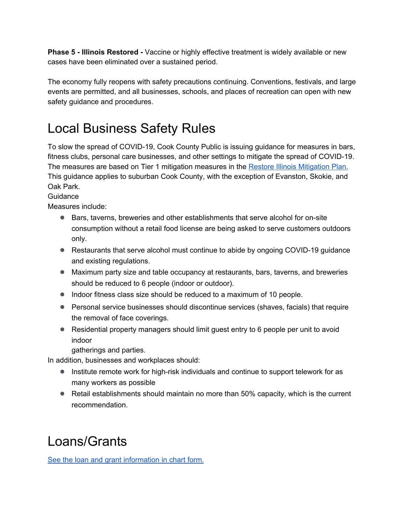**Phase 5 - Illinois Restored -** Vaccine or highly effective treatment is widely available or new cases have been eliminated over a sustained period.

The economy fully reopens with safety precautions continuing. Conventions, festivals, and large events are permitted, and all businesses, schools, and places of recreation can open with new safety guidance and procedures.

# Local Business Safety Rules

To slow the spread of COVID-19, Cook County Public is issuing guidance for measures in bars, fitness clubs, personal care businesses, and other settings to mitigate the spread of COVID-19. The measures are based on Tier 1 mitigation measures in the Restore Illinois [Mitigation](https://coronavirus.illinois.gov/s/restore-illinois-mitigation-plan) Plan. This guidance applies to suburban Cook County, with the exception of Evanston, Skokie, and Oak Park.

#### Guidance

Measures include:

- Bars, taverns, breweries and other establishments that serve alcohol for on-site consumption without a retail food license are being asked to serve customers outdoors only.
- Restaurants that serve alcohol must continue to abide by ongoing COVID-19 guidance and existing regulations.
- Maximum party size and table occupancy at restaurants, bars, taverns, and breweries should be reduced to 6 people (indoor or outdoor).
- Indoor fitness class size should be reduced to a maximum of 10 people.
- Personal service businesses should discontinue services (shaves, facials) that require the removal of face coverings.
- Residential property managers should limit guest entry to 6 people per unit to avoid indoor

gatherings and parties.

In addition, businesses and workplaces should:

- Institute remote work for high-risk individuals and continue to support telework for as many workers as possible
- Retail establishments should maintain no more than 50% capacity, which is the current recommendation.

# Loans/Grants

See the loan and grant [information](https://docs.google.com/document/d/1y_yNgutpoQShlce1gw2L1V3cz5A8Jl1tCKaQTGQlnAg/edit?usp=sharing) in chart form.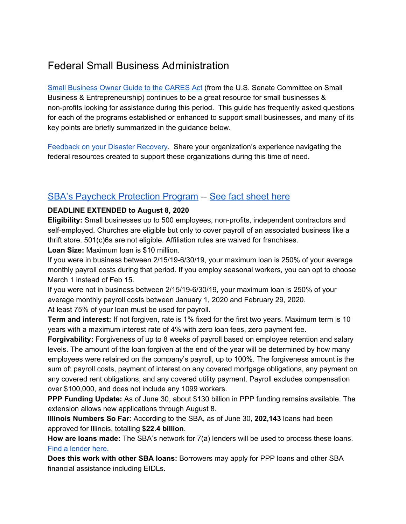## Federal Small Business Administration

Small [Business](https://www.sbc.senate.gov/public/_cache/files/2/9/29fc1ae7-879a-4de0-97d5-ab0a0cb558c8/1BC9E5AB74965E686FC6EBC019EC358F.the-small-business-owner-s-guide-to-the-cares-act-final-.pdf) Owner Guide to the CARES Act (from the U.S. Senate Committee on Small Business & Entrepreneurship) continues to be a great resource for small businesses & non-profits looking for assistance during this period. This guide has frequently asked questions for each of the programs established or enhanced to support small businesses, and many of its key points are briefly summarized in the guidance below.

[Feedback](https://www.sbc.senate.gov/public/index.cfm/feedback) on your Disaster Recovery. Share your organization's experience navigating the federal resources created to support these organizations during this time of need.

#### SBA's Paycheck [Protection](https://www.sba.gov/funding-programs/loans/paycheck-protection-program-ppp#section-header-4) Program -- See fact [sheet](https://drive.google.com/open?id=1BYI-i07Xz1mVO26SGOjsKSzkU1DjTd0g) here

#### **DEADLINE EXTENDED to August 8, 2020**

**Eligibility:** Small businesses up to 500 employees, non-profits, independent contractors and self-employed. Churches are eligible but only to cover payroll of an associated business like a thrift store. 501(c)6s are not eligible. Affiliation rules are waived for franchises.

**Loan Size:** Maximum loan is \$10 million.

If you were in business between 2/15/19-6/30/19, your maximum loan is 250% of your average monthly payroll costs during that period. If you employ seasonal workers, you can opt to choose March 1 instead of Feb 15.

If you were not in business between 2/15/19-6/30/19, your maximum loan is 250% of your average monthly payroll costs between January 1, 2020 and February 29, 2020. At least 75% of your loan must be used for payroll.

**Term and interest:** If not forgiven, rate is 1% fixed for the first two years. Maximum term is 10 years with a maximum interest rate of 4% with zero loan fees, zero payment fee.

**Forgivability:** Forgiveness of up to 8 weeks of payroll based on employee retention and salary levels. The amount of the loan forgiven at the end of the year will be determined by how many employees were retained on the company's payroll, up to 100%. The forgiveness amount is the sum of: payroll costs, payment of interest on any covered mortgage obligations, any payment on any covered rent obligations, and any covered utility payment. Payroll excludes compensation over \$100,000, and does not include any 1099 workers.

**PPP Funding Update:** As of June 30, about \$130 billion in PPP funding remains available. The extension allows new applications through August 8.

**Illinois Numbers So Far:** According to the SBA, as of June 30, **202,143** loans had been approved for Illinois, totalling **\$22.4 billion**.

**How are loans made:** The SBA's network for 7(a) lenders will be used to process these loans. Find a [lender](https://www.sba.gov/paycheckprotection/find) here.

**Does this work with other SBA loans:** Borrowers may apply for PPP loans and other SBA financial assistance including EIDLs.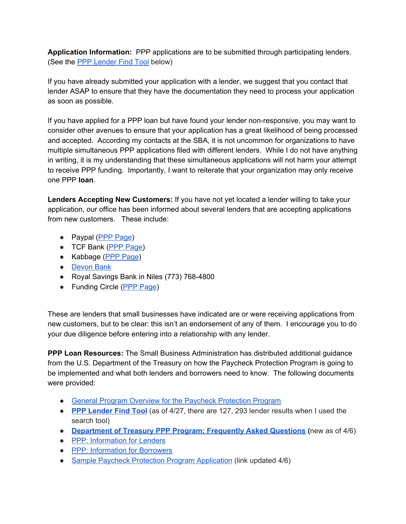**Application Information:** PPP applications are to be submitted through participating lenders. (See the PPP [Lender](https://www.sba.gov/paycheckprotection/find) Find Tool below)

If you have already submitted your application with a lender, we suggest that you contact that lender ASAP to ensure that they have the documentation they need to process your application as soon as possible.

If you have applied for a PPP loan but have found your lender non-responsive, you may want to consider other avenues to ensure that your application has a great likelihood of being processed and accepted. According my contacts at the SBA, it is not uncommon for organizations to have multiple simultaneous PPP applications filed with different lenders. While I do not have anything in writing, it is my understanding that these simultaneous applications will not harm your attempt to receive PPP funding. Importantly, I want to reiterate that your organization may only receive one PPP **loan**.

**Lenders Accepting New Customers:** If you have not yet located a lender willing to take your application, our office has been informed about several lenders that are accepting applications from new customers. These include:

- Paypal (PPP [Page](https://www.loanbuilder.com/ppp-loan-application))
- TCF Bank (PPP [Page\)](https://commercial.tcfbank.com/sbappp/s/application)
- Kabbage (PPP [Page](https://www.kabbage.com/paycheck-protection-program-loans/))
- [Devon](https://www.devonbank.com/) Bank
- Royal Savings Bank in Niles (773) 768-4800
- Funding Circle (PPP [Page](https://www.fundingcircle.com/us/applications/00cbb1a0-3415-4689-9bcf-6fab7bb2e616/intro))

These are lenders that small businesses have indicated are or were receiving applications from new customers, but to be clear: this isn't an endorsement of any of them. I encourage you to do your due diligence before entering into a relationship with any lender.

**PPP Loan Resources:** The Small Business Administration has distributed additional guidance from the U.S. Department of the Treasury on how the Paycheck Protection Program is going to be implemented and what both lenders and borrowers need to know. The following documents were provided:

- General Program Overview for the Paycheck [Protection](https://home.treasury.gov/system/files/136/PPP%20--%20Overview.pdf) Program
- **PPP [Lender](https://www.sba.gov/paycheckprotection/find) Find Tool** (as of 4/27, there are 127, 293 lender results when I used the search tool)
- **[Department](https://home.treasury.gov/system/files/136/Paycheck-Protection-Program-Frequenty-Asked-Questions.pdf) of Treasury PPP Program: Frequently Asked Questions (**new as of 4/6)
- PPP: [Information](https://home.treasury.gov/system/files/136/PPP%20Lender%20Information%20Fact%20Sheet.pdf) for Lenders
- PPP: [Information](https://home.treasury.gov/system/files/136/PPP%20Borrower%20Information%20Fact%20Sheet.pdf) for Borrowers
- Sample Paycheck Protection Program [Application](https://www.sba.gov/sites/default/files/2020-04/PPP%20Borrower%20Application%20Form_0.pdf) (link updated 4/6)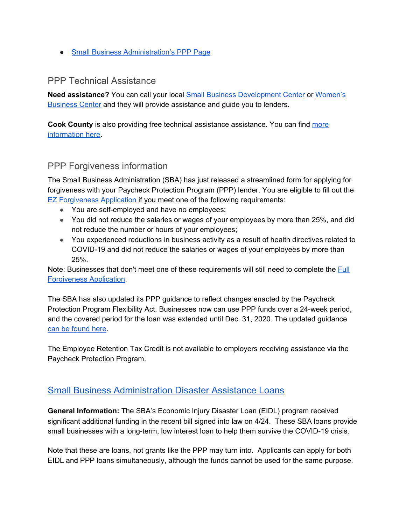● Small Business [Administration's](https://www.sba.gov/funding-programs/loans/paycheck-protection-program-ppp) PPP Page

#### PPP Technical Assistance

**Need assistance?** You can call your local Small Business [Development](https://www.sba.gov/tools/local-assistance/sbdc/) Center or [Women's](https://www.sba.gov/local-assistance/find/?type=Women%27s%20Business%20Center&pageNumber=1) [Business](https://www.sba.gov/local-assistance/find/?type=Women%27s%20Business%20Center&pageNumber=1) Center and they will provide assistance and guide you to lenders.

**Cook County** is also providing free technical assistance assistance. You can find [more](https://www.cookcountyil.gov/content/technical-assistance-network?utm_medium=email&utm_source=govdelivery) [information](https://www.cookcountyil.gov/content/technical-assistance-network?utm_medium=email&utm_source=govdelivery) here.

#### PPP Forgiveness information

The Small Business Administration (SBA) has just released a streamlined form for applying for forgiveness with your Paycheck Protection Program (PPP) lender. You are eligible to fill out the EZ [Forgiveness](https://go.smallbusinessmajority.org/e/229072/iveness-Application-3508EZ-pdf/7vdkd/272929023?h=lEgmJBeOsqTyXeRZ5wcKZ6v-HB7GoNnYN4zzTSEiPJE) Application if you meet one of the following requirements:

- You are self-employed and have no employees;
- You did not reduce the salaries or wages of your employees by more than 25%, and did not reduce the number or hours of your employees;
- You experienced reductions in business activity as a result of health directives related to COVID-19 and did not reduce the salaries or wages of your employees by more than 25%.

Note: Businesses that don't meet one of these requirements will still need to complete the **[Full](https://go.smallbusinessmajority.org/e/229072/PP-Forgiveness-Application-pdf/7vdkg/272929023?h=lEgmJBeOsqTyXeRZ5wcKZ6v-HB7GoNnYN4zzTSEiPJE)** [Forgiveness](https://go.smallbusinessmajority.org/e/229072/PP-Forgiveness-Application-pdf/7vdkg/272929023?h=lEgmJBeOsqTyXeRZ5wcKZ6v-HB7GoNnYN4zzTSEiPJE) Application.

The SBA has also updated its PPP guidance to reflect changes enacted by the Paycheck Protection Program Flexibility Act. Businesses now can use PPP funds over a 24-week period, and the covered period for the loan was extended until Dec. 31, 2020. The updated guidance can be [found](https://go.smallbusinessmajority.org/e/229072/ons20286-16-20202920signed-pdf/7vdkj/272929023?h=lEgmJBeOsqTyXeRZ5wcKZ6v-HB7GoNnYN4zzTSEiPJE) here.

The Employee Retention Tax Credit is not available to employers receiving assistance via the Paycheck Protection Program.

#### Small Business [Administration](https://www.sba.gov/funding-programs/disaster-assistance) Disaster Assistance Loans

**General Information:** The SBA's Economic Injury Disaster Loan (EIDL) program received significant additional funding in the recent bill signed into law on 4/24. These SBA loans provide small businesses with a long-term, low interest loan to help them survive the COVID-19 crisis.

Note that these are loans, not grants like the PPP may turn into. Applicants can apply for both EIDL and PPP loans simultaneously, although the funds cannot be used for the same purpose.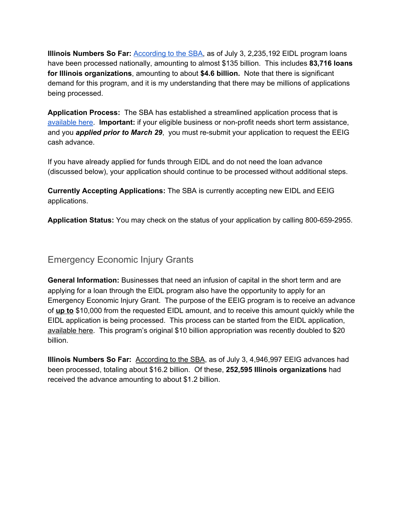**Illinois Numbers So Far:** [According](https://www.sba.gov/sites/default/files/2020-04/EIDL%20COVID-19%20Loans%204.24.20.pdf) to the SBA, as of July 3, 2,235,192 EIDL program loans have been processed nationally, amounting to almost \$135 billion. This includes **83,716 loans for Illinois organizations**, amounting to about **\$4.6 billion.** Note that there is significant demand for this program, and it is my understanding that there may be millions of applications being processed.

**Application Process:** The SBA has established a streamlined application process that is [available](https://covid19relief.sba.gov/) here. **Important:** if your eligible business or non-profit needs short term assistance, and you *applied prior to March 29*, you must re-submit your application to request the EEIG cash advance.

If you have already applied for funds through EIDL and do not need the loan advance (discussed below), your application should continue to be processed without additional steps.

**Currently Accepting Applications:** The SBA is currently accepting new EIDL and EEIG applications.

**Application Status:** You may check on the status of your application by calling 800-659-2955.

#### Emergency Economic Injury Grants

**General Information:** Businesses that need an infusion of capital in the short term and are applying for a loan through the EIDL program also have the opportunity to apply for an Emergency Economic Injury Grant. The purpose of the EEIG program is to receive an advance of **up to** \$10,000 from the requested EIDL amount, and to receive this amount quickly while the EIDL application is being processed. This process can be started from the EIDL application, [available](https://covid19relief.sba.gov/) here. This program's original \$10 billion appropriation was recently doubled to \$20 billion.

**Illinois Numbers So Far:** [According](https://www.sba.gov/sites/default/files/2020-04/EIDL%20COVID-19%20Advance%204.24.20.pdf) to the SBA, as of July 3, 4,946,997 EEIG advances had been processed, totaling about \$16.2 billion. Of these, **252,595 Illinois organizations** had received the advance amounting to about \$1.2 billion.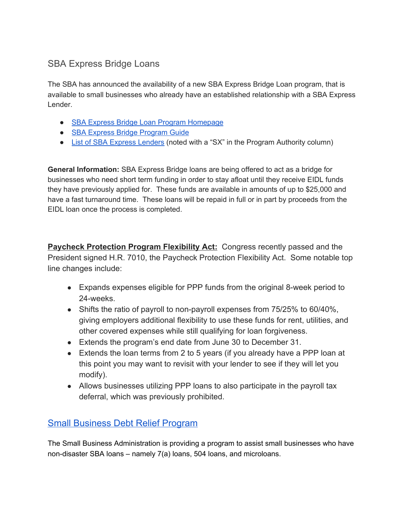#### SBA Express Bridge Loans

The SBA has announced the availability of a new SBA Express Bridge Loan program, that is available to small businesses who already have an established relationship with a SBA Express Lender.

- SBA Express Bridge Loan Program [Homepage](https://www.sba.gov/funding-programs/loans/coronavirus-relief-options/sba-express-bridge-loans)
- SBA Express Bridge [Program](https://www.sba.gov/sites/default/files/2020-03/Express-Bridge-Loan-Pilot-Program-Guide-FINAL-3.25.20.pdf) Guide
- List of SBA Express [Lenders](https://www.sba.gov/sites/default/files/articles/Active_Lenders_in_Illinois_March_30_2020.pdf) (noted with a "SX" in the Program Authority column)

**General Information:** SBA Express Bridge loans are being offered to act as a bridge for businesses who need short term funding in order to stay afloat until they receive EIDL funds they have previously applied for. These funds are available in amounts of up to \$25,000 and have a fast turnaround time. These loans will be repaid in full or in part by proceeds from the EIDL loan once the process is completed.

**Paycheck Protection Program Flexibility Act:** Congress recently passed and the President signed H.R. 7010, the Paycheck Protection Flexibility Act. Some notable top line changes include:

- Expands expenses eligible for PPP funds from the original 8-week period to 24-weeks.
- Shifts the ratio of payroll to non-payroll expenses from 75/25% to 60/40%, giving employers additional flexibility to use these funds for rent, utilities, and other covered expenses while still qualifying for loan forgiveness.
- Extends the program's end date from June 30 to December 31.
- Extends the loan terms from 2 to 5 years (if you already have a PPP loan at this point you may want to revisit with your lender to see if they will let you modify).
- Allows businesses utilizing PPP loans to also participate in the payroll tax deferral, which was previously prohibited.

### Small [Business](https://www.sba.gov/funding-programs/loans/coronavirus-relief-options/sba-debt-relief) Debt Relief Program

The Small Business Administration is providing a program to assist small businesses who have non-disaster SBA loans – namely 7(a) loans, 504 loans, and microloans.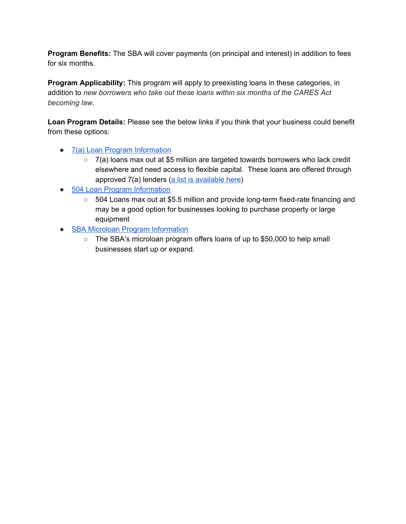**Program Benefits:** The SBA will cover payments (on principal and interest) in addition to fees for six months.

**Program Applicability:** This program will apply to preexisting loans in these categories, in addition to *new borrowers who take out these loans within six months of the CARES Act becoming law.*

**Loan Program Details:** Please see the below links if you think that your business could benefit from these options:

- 7(a) Loan Program [Information](https://www.sba.gov/partners/lenders/7a-loan-program/types-7a-loans)
	- 7(a) loans max out at \$5 million are targeted towards borrowers who lack credit elsewhere and need access to flexible capital. These loans are offered through approved 7(a) lenders (a list is [available](https://urldefense.proofpoint.com/v2/url?u=https-3A__www.sba.gov_sites_default_files_articles_Active-5FLenders-5Fin-5FIllinois-5F5-5F30-5F2019.pdf&d=DwMF-g&c=L93KkjKsAC98uTvC4KvQDdTDRzAeWDDRmG6S3YXllH0&r=dywjUEtRD6KmRT-wPRGH8TiIUSLLGk2UQXmzG5RtFuA&m=mCMRGMq29jgmRno1rQoDsE-U45zu9S13srnaL3r2GkU&s=8MfHlKmqKgdaLCiMmgDEKTJr2KIccNjRfgb3S7xSz_g&e=) here)
- 504 Loan Program [Information](https://www.sba.gov/offices/headquarters/ofa/resources/4049)
	- 504 Loans max out at \$5.5 million and provide long-term fixed-rate financing and may be a good option for businesses looking to purchase property or large equipment
- SBA Microloan Program [Information](https://www.sba.gov/loans-grants/see-what-sba-offers/sba-loan-programs/microloan-program)
	- The SBA's microloan program offers loans of up to \$50,000 to help small businesses start up or expand.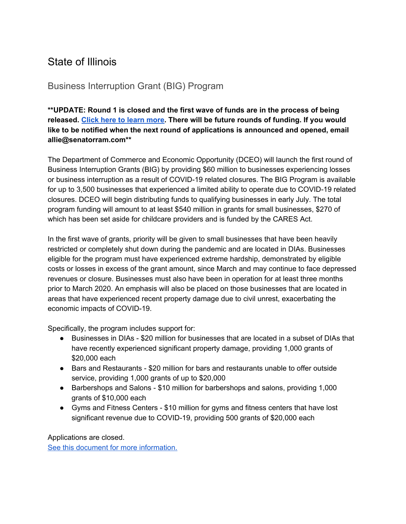### State of Illinois

#### Business Interruption Grant (BIG) Program

**\*\*UPDATE: Round 1 is closed and the first wave of funds are in the process of being released. Click here to learn [more.](https://www2.illinois.gov/dceo/SmallBizAssistance/Pages/C19DisadvantagedBusGrants.aspx) There will be future rounds of funding. If you would like to be notified when the next round of applications is announced and opened, email allie@senatorram.com\*\***

The Department of Commerce and Economic Opportunity (DCEO) will launch the first round of Business Interruption Grants (BIG) by providing \$60 million to businesses experiencing losses or business interruption as a result of COVID-19 related closures. The BIG Program is available for up to 3,500 businesses that experienced a limited ability to operate due to COVID-19 related closures. DCEO will begin distributing funds to qualifying businesses in early July. The total program funding will amount to at least \$540 million in grants for small businesses, \$270 of which has been set aside for childcare providers and is funded by the CARES Act.

In the first wave of grants, priority will be given to small businesses that have been heavily restricted or completely shut down during the pandemic and are located in DIAs. Businesses eligible for the program must have experienced extreme hardship, demonstrated by eligible costs or losses in excess of the grant amount, since March and may continue to face depressed revenues or closure. Businesses must also have been in operation for at least three months prior to March 2020. An emphasis will also be placed on those businesses that are located in areas that have experienced recent property damage due to civil unrest, exacerbating the economic impacts of COVID-19.

Specifically, the program includes support for:

- Businesses in DIAs \$20 million for businesses that are located in a subset of DIAs that have recently experienced significant property damage, providing 1,000 grants of \$20,000 each
- Bars and Restaurants \$20 million for bars and restaurants unable to offer outside service, providing 1,000 grants of up to \$20,000
- Barbershops and Salons \$10 million for barbershops and salons, providing 1,000 grants of \$10,000 each
- Gyms and Fitness Centers \$10 million for gyms and fitness centers that have lost significant revenue due to COVID-19, providing 500 grants of \$20,000 each

Applications are closed.

See this document for more [information.](https://drive.google.com/file/d/1KYZ_Gge80yjwQqRaZsqcwNvXUt8WiOZV/view?usp=sharing)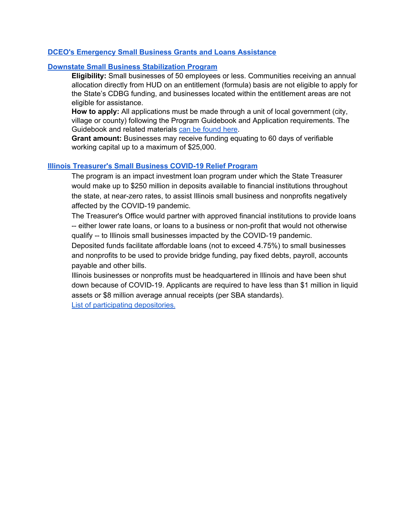#### **DCEO's [Emergency](https://www2.illinois.gov/dceo/SmallBizAssistance/Pages/EmergencySBAIntiatives.aspx) Small Business Grants and Loans Assistance**

#### **Downstate Small Business [Stabilization](https://www2.illinois.gov/dceo/CommunityServices/CommunityInfrastructure/Pages/DownstateSmBizStabilizaition.aspx) Program**

**Eligibility:** Small businesses of 50 employees or less. Communities receiving an annual allocation directly from HUD on an entitlement (formula) basis are not eligible to apply for the State's CDBG funding, and businesses located within the entitlement areas are not eligible for assistance.

**How to apply:** All applications must be made through a unit of local government (city, village or county) following the Program Guidebook and Application requirements. The Guidebook and related materials can be [found](https://www2.illinois.gov/dceo/CommunityServices/CommunityInfrastructure/Pages/DownstateSmBizStabilizaition.aspx) here.

**Grant amount:** Businesses may receive funding equating to 60 days of verifiable working capital up to a maximum of \$25,000.

#### **Illinois [Treasurer's](https://illinoistreasurer.gov/Invest_in_Illinois/Small_Business_COVID-19_Relief_Program) Small Business COVID-19 Relief Program**

The program is an impact investment loan program under which the State Treasurer would make up to \$250 million in deposits available to financial institutions throughout the state, at near-zero rates, to assist Illinois small business and nonprofits negatively affected by the COVID-19 pandemic.

The Treasurer's Office would partner with approved financial institutions to provide loans -- either lower rate loans, or loans to a business or non-profit that would not otherwise qualify -- to Illinois small businesses impacted by the COVID-19 pandemic.

Deposited funds facilitate affordable loans (not to exceed 4.75%) to small businesses and nonprofits to be used to provide bridge funding, pay fixed debts, payroll, accounts payable and other bills.

Illinois businesses or nonprofits must be headquartered in Illinois and have been shut down because of COVID-19. Applicants are required to have less than \$1 million in liquid assets or \$8 million average annual receipts (per SBA standards).

List of participating [depositories.](https://illinoistreasurer.gov/Financial_Institutions/Access_to_Capital/List_of_Participating_Program_Depositories)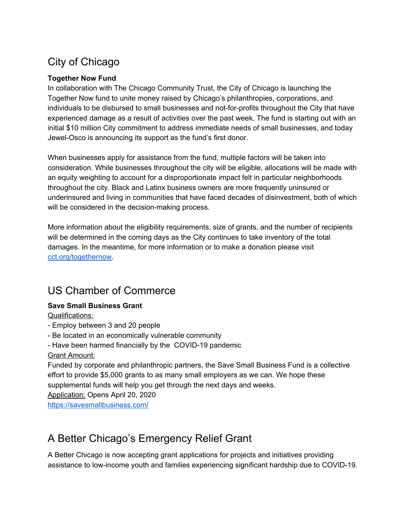## City of Chicago

#### **Together Now Fund**

In collaboration with The Chicago Community Trust, the City of Chicago is launching the Together Now fund to unite money raised by Chicago's philanthropies, corporations, and individuals to be disbursed to small businesses and not-for-profits throughout the City that have experienced damage as a result of activities over the past week. The fund is starting out with an initial \$10 million City commitment to address immediate needs of small businesses, and today Jewel-Osco is announcing its support as the fund's first donor.

When businesses apply for assistance from the fund, multiple factors will be taken into consideration. While businesses throughout the city will be eligible, allocations will be made with an equity weighting to account for a disproportionate impact felt in particular neighborhoods throughout the city. Black and Latinx business owners are more frequently uninsured or underinsured and living in communities that have faced decades of disinvestment, both of which will be considered in the decision-making process.

More information about the eligibility requirements, size of grants, and the number of recipients will be determined in the coming days as the City continues to take inventory of the total damages. In the meantime, for more information or to make a donation please visit [cct.org/togethernow.](http://cct.org/togethernow)

### US Chamber of Commerce

#### **Save Small Business Grant**

Qualifications:

- Employ between 3 and 20 people
- Be located in an economically vulnerable community
- Have been harmed financially by the COVID-19 pandemic

#### Grant Amount:

Funded by corporate and philanthropic partners, the Save Small Business Fund is a collective effort to provide \$5,000 grants to as many small employers as we can. We hope these supplemental funds will help you get through the next days and weeks.

Application: Opens April 20, 2020

<https://savesmallbusiness.com/>

## A Better Chicago's Emergency Relief Grant

A Better Chicago is now accepting grant applications for projects and initiatives providing assistance to low-income youth and families experiencing significant hardship due to COVID-19.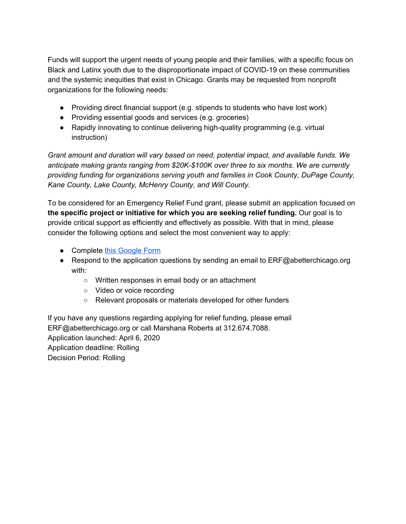Funds will support the urgent needs of young people and their families, with a specific focus on Black and Latinx youth due to the disproportionate impact of COVID-19 on these communities and the systemic inequities that exist in Chicago. Grants may be requested from nonprofit organizations for the following needs:

- Providing direct financial support (e.g. stipends to students who have lost work)
- Providing essential goods and services (e.g. groceries)
- Rapidly innovating to continue delivering high-quality programming (e.g. virtual instruction)

*Grant amount and duration will vary based on need, potential impact, and available funds. We anticipate making grants ranging from \$20K-\$100K over three to six months. We are currently providing funding for organizations serving youth and families in Cook County, DuPage County, Kane County, Lake County, McHenry County, and Will County.*

To be considered for an Emergency Relief Fund grant, please submit an application focused on **the specific project or initiative for which you are seeking relief funding.** Our goal is to provide critical support as efficiently and effectively as possible. With that in mind, please consider the following options and select the most convenient way to apply:

- Compl[e](https://docs.google.com/forms/d/e/1FAIpQLSdJcJAKuAvu4RyAG4eKvdB5W5My95IodmgvGq9m3Dc0-6nl3A/viewform)te this [Google](https://docs.google.com/forms/d/e/1FAIpQLSdJcJAKuAvu4RyAG4eKvdB5W5My95IodmgvGq9m3Dc0-6nl3A/viewform) Form
- Respond to the application questions by sending an email to ERF@abetterchicago.org with:
	- Written responses in email body or an attachment
	- Video or voice recording
	- Relevant proposals or materials developed for other funders

If you have any questions regarding applying for relief funding, please email ERF@abetterchicago.org or call Marshana Roberts at 312.674.7088. Application launched: April 6, 2020 Application deadline: Rolling Decision Period: Rolling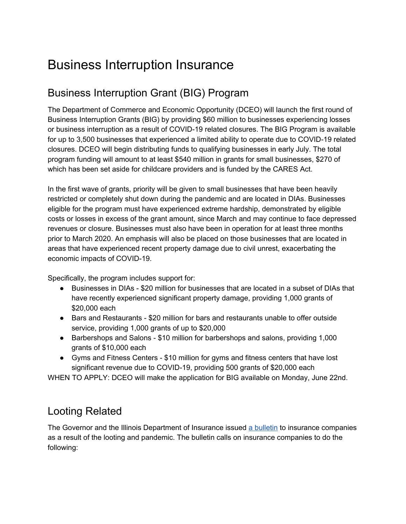# Business Interruption Insurance

## Business Interruption Grant (BIG) Program

The Department of Commerce and Economic Opportunity (DCEO) will launch the first round of Business Interruption Grants (BIG) by providing \$60 million to businesses experiencing losses or business interruption as a result of COVID-19 related closures. The BIG Program is available for up to 3,500 businesses that experienced a limited ability to operate due to COVID-19 related closures. DCEO will begin distributing funds to qualifying businesses in early July. The total program funding will amount to at least \$540 million in grants for small businesses, \$270 of which has been set aside for childcare providers and is funded by the CARES Act.

In the first wave of grants, priority will be given to small businesses that have been heavily restricted or completely shut down during the pandemic and are located in DIAs. Businesses eligible for the program must have experienced extreme hardship, demonstrated by eligible costs or losses in excess of the grant amount, since March and may continue to face depressed revenues or closure. Businesses must also have been in operation for at least three months prior to March 2020. An emphasis will also be placed on those businesses that are located in areas that have experienced recent property damage due to civil unrest, exacerbating the economic impacts of COVID-19.

Specifically, the program includes support for:

- Businesses in DIAs \$20 million for businesses that are located in a subset of DIAs that have recently experienced significant property damage, providing 1,000 grants of \$20,000 each
- Bars and Restaurants \$20 million for bars and restaurants unable to offer outside service, providing 1,000 grants of up to \$20,000
- Barbershops and Salons \$10 million for barbershops and salons, providing 1,000 grants of \$10,000 each
- Gyms and Fitness Centers \$10 million for gyms and fitness centers that have lost significant revenue due to COVID-19, providing 500 grants of \$20,000 each

WHEN TO APPLY: DCEO will make the application for BIG available on Monday, June 22nd.

### Looting Related

The Governor and the Illinois Department of Insurance issued a [bulletin](https://insurance.illinois.gov/cb/2020/CB2020-15.pdf) to insurance companies as a result of the looting and pandemic. The bulletin calls on insurance companies to do the following: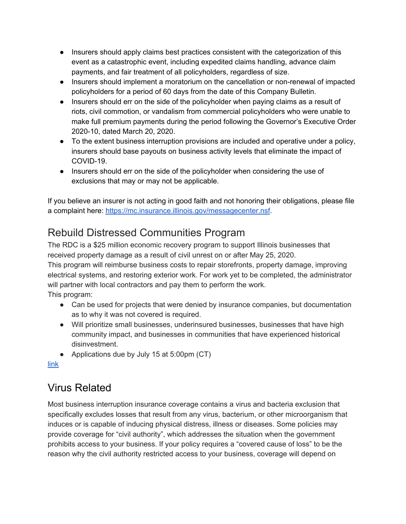- Insurers should apply claims best practices consistent with the categorization of this event as a catastrophic event, including expedited claims handling, advance claim payments, and fair treatment of all policyholders, regardless of size.
- Insurers should implement a moratorium on the cancellation or non-renewal of impacted policyholders for a period of 60 days from the date of this Company Bulletin.
- Insurers should err on the side of the policyholder when paying claims as a result of riots, civil commotion, or vandalism from commercial policyholders who were unable to make full premium payments during the period following the Governor's Executive Order 2020-10, dated March 20, 2020.
- To the extent business interruption provisions are included and operative under a policy, insurers should base payouts on business activity levels that eliminate the impact of COVID-19.
- Insurers should err on the side of the policyholder when considering the use of exclusions that may or may not be applicable.

If you believe an insurer is not acting in good faith and not honoring their obligations, please file a complaint here: <https://mc.insurance.illinois.gov/messagecenter.nsf>.

## Rebuild Distressed Communities Program

The RDC is a \$25 million economic recovery program to support Illinois businesses that received property damage as a result of civil unrest on or after May 25, 2020.

This program will reimburse business costs to repair storefronts, property damage, improving electrical systems, and restoring exterior work. For work yet to be completed, the administrator will partner with local contractors and pay them to perform the work. This program:

- Can be used for projects that were denied by insurance companies, but documentation as to why it was not covered is required.
- Will prioritize small businesses, underinsured businesses, businesses that have high community impact, and businesses in communities that have experienced historical disinvestment.
- Applications due by July 15 at 5:00pm (CT)

[link](https://www2.illinois.gov/dceo/AboutDCEO/GrantOpportunities/Pages/2437-1644.aspx)

## Virus Related

Most business interruption insurance coverage contains a virus and bacteria exclusion that specifically excludes losses that result from any virus, bacterium, or other microorganism that induces or is capable of inducing physical distress, illness or diseases. Some policies may provide coverage for "civil authority", which addresses the situation when the government prohibits access to your business. If your policy requires a "covered cause of loss" to be the reason why the civil authority restricted access to your business, coverage will depend on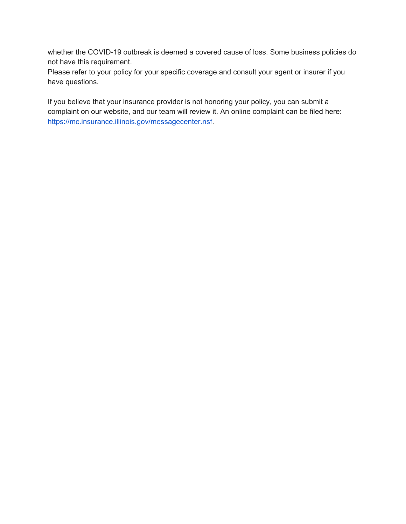whether the COVID-19 outbreak is deemed a covered cause of loss. Some business policies do not have this requirement.

Please refer to your policy for your specific coverage and consult your agent or insurer if you have questions.

If you believe that your insurance provider is not honoring your policy, you can submit a complaint on our website, and our team will review it. An online complaint can be filed here: <https://mc.insurance.illinois.gov/messagecenter.nsf>.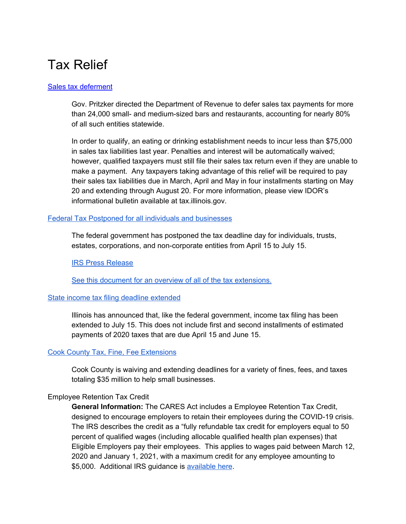# Tax Relief

#### Sales tax [deferment](https://www2.illinois.gov/rev/research/publications/bulletins/Documents/2020/FY2020-23.pdf)

Gov. Pritzker directed the Department of Revenue to defer sales tax payments for more than 24,000 small- and medium-sized bars and restaurants, accounting for nearly 80% of all such entities statewide.

In order to qualify, an eating or drinking establishment needs to incur less than \$75,000 in sales tax liabilities last year. Penalties and interest will be automatically waived; however, qualified taxpayers must still file their sales tax return even if they are unable to make a payment. Any taxpayers taking advantage of this relief will be required to pay their sales tax liabilities due in March, April and May in four installments starting on May 20 and extending through August 20. For more information, please view IDOR's informational bulletin available at tax.illinois.gov.

#### Federal Tax Postponed for all individuals and [businesses](https://drive.google.com/file/d/1qVKARcsUyjhsXaUqeyKi68wYbJHOlAm8/view?usp=sharing)

The federal government has postponed the tax deadline day for individuals, trusts, estates, corporations, and non-corporate entities from April 15 to July 15.

IRS Press [Release](https://drive.google.com/file/d/1qVKARcsUyjhsXaUqeyKi68wYbJHOlAm8/view?usp=sharing)

See this document for an overview of all of the tax [extensions.](https://drive.google.com/file/d/1ljqMVImf-P9L2O6-kADZoZpZBiu1qDfR/view?usp=sharing)

#### State income tax filing deadline [extended](https://drive.google.com/file/d/14Lx0cInwj0BCQiYvwbLH8zqVaH-BzheG/view?usp=sharing)

Illinois has announced that, like the federal government, income tax filing has been extended to July 15. This does not include first and second installments of estimated payments of 2020 taxes that are due April 15 and June 15.

#### Cook County Tax, Fine, Fee [Extensions](https://www.cookcountyil.gov/sites/default/files/service/covid-19-financial-relief-package.pdf?utm_medium=email&utm_source=govdelivery)

Cook County is waiving and extending deadlines for a variety of fines, fees, and taxes totaling \$35 million to help small businesses.

#### Employee Retention Tax Credit

**General Information:** The CARES Act includes a Employee Retention Tax Credit, designed to encourage employers to retain their employees during the COVID-19 crisis. The IRS describes the credit as a "fully refundable tax credit for employers equal to 50 percent of qualified wages (including allocable qualified health plan expenses) that Eligible Employers pay their employees. This applies to wages paid between March 12, 2020 and January 1, 2021, with a maximum credit for any employee amounting to \$5,000. Additional IRS guidance is [available](https://www.irs.gov/newsroom/faqs-employee-retention-credit-under-the-cares-act) here.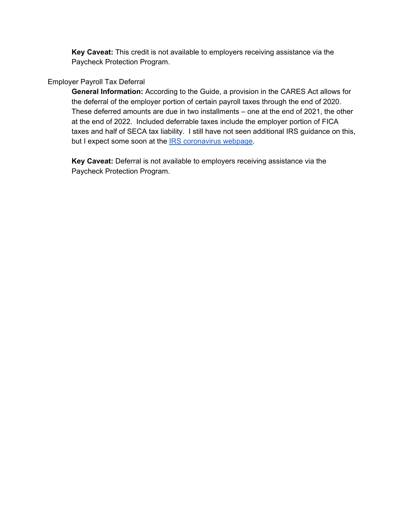**Key Caveat:** This credit is not available to employers receiving assistance via the Paycheck Protection Program.

#### Employer Payroll Tax Deferral

**General Information:** According to the Guide, a provision in the CARES Act allows for the deferral of the employer portion of certain payroll taxes through the end of 2020. These deferred amounts are due in two installments – one at the end of 2021, the other at the end of 2022. Included deferrable taxes include the employer portion of FICA taxes and half of SECA tax liability. I still have not seen additional IRS guidance on this, but I expect some soon at the **IRS [coronavirus](https://www.irs.gov/coronavirus) webpage**.

**Key Caveat:** Deferral is not available to employers receiving assistance via the Paycheck Protection Program.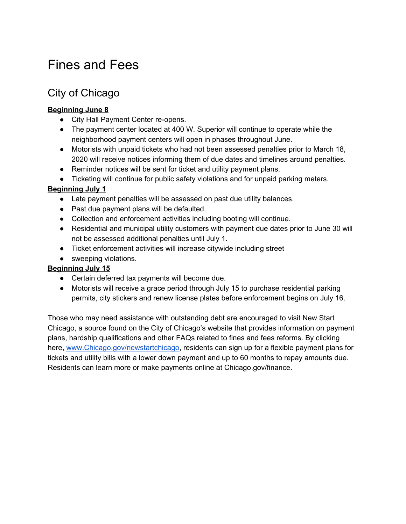# Fines and Fees

## City of Chicago

#### **Beginning June 8**

- City Hall Payment Center re-opens.
- The payment center located at 400 W. Superior will continue to operate while the neighborhood payment centers will open in phases throughout June.
- Motorists with unpaid tickets who had not been assessed penalties prior to March 18, 2020 will receive notices informing them of due dates and timelines around penalties.
- Reminder notices will be sent for ticket and utility payment plans.
- Ticketing will continue for public safety violations and for unpaid parking meters.

#### **Beginning July 1**

- Late payment penalties will be assessed on past due utility balances.
- Past due payment plans will be defaulted.
- Collection and enforcement activities including booting will continue.
- Residential and municipal utility customers with payment due dates prior to June 30 will not be assessed additional penalties until July 1.
- Ticket enforcement activities will increase citywide including street
- sweeping violations.

#### **Beginning July 15**

- Certain deferred tax payments will become due.
- Motorists will receive a grace period through July 15 to purchase residential parking permits, city stickers and renew license plates before enforcement begins on July 16.

Those who may need assistance with outstanding debt are encouraged to visit New Start Chicago, a source found on the City of Chicago's website that provides information on payment plans, hardship qualifications and other FAQs related to fines and fees reforms. By clicking here, [www.Chicago.gov/newstartchicago,](http://www.chicago.gov/newstartchicago) residents can sign up for a flexible payment plans for tickets and utility bills with a lower down payment and up to 60 months to repay amounts due. Residents can learn more or make payments online at Chicago.gov/finance.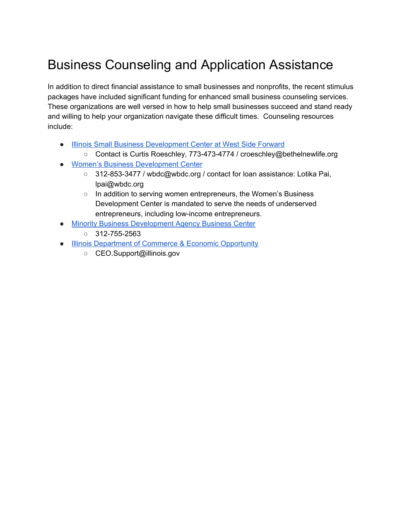# Business Counseling and Application Assistance

In addition to direct financial assistance to small businesses and nonprofits, the recent stimulus packages have included significant funding for enhanced small business counseling services. These organizations are well versed in how to help small businesses succeed and stand ready and willing to help your organization navigate these difficult times. Counseling resources include:

- Illinois Small Business [Development](https://www.westsideforward.org/small-business-development-ctr) Center at West Side Forward
	- Contact is Curtis Roeschley, 773-473-4774 / croeschley@bethelnewlife.org
- Women's Business [Development](http://www.wbdc.org/) Center
	- 312-853-3477 / wbdc@wbdc.org / contact for loan assistance: Lotika Pai, lpai@wbdc.org
	- In addition to serving women entrepreneurs, the Women's Business Development Center is mandated to serve the needs of underserved entrepreneurs, including low-income entrepreneurs.
- **Minority Business [Development](https://www.mbda.gov/businesscenters/chicago) Agency Business Center** 
	- $\circ$  312-755-2563
- **Illinois [Department](https://www2.illinois.gov/dceo/SmallBizAssistance/Pages/Coronavirus-Disease-2019-%28COVID-19%29-Information-for-Small-Business.aspx) of Commerce & Economic Opportunity** 
	- CEO.Support@illinois.gov